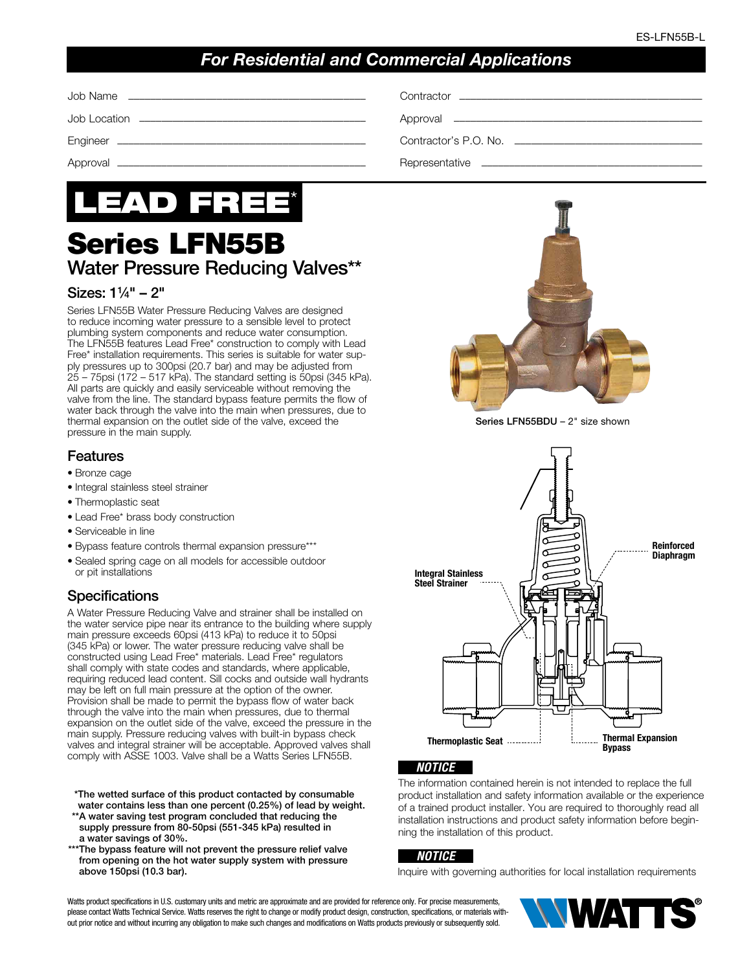# *For Residential and Commercial Applications*



# Series LFN55B Water Pressure Reducing Valves\*\*

#### Sizes: 11⁄4" – 2"

Series LFN55B Water Pressure Reducing Valves are designed to reduce incoming water pressure to a sensible level to protect plumbing system components and reduce water consumption. The LFN55B features Lead Free\* construction to comply with Lead Free\* installation requirements. This series is suitable for water supply pressures up to 300psi (20.7 bar) and may be adjusted from 25 – 75psi (172 – 517 kPa). The standard setting is 50psi (345 kPa). All parts are quickly and easily serviceable without removing the valve from the line. The standard bypass feature permits the flow of water back through the valve into the main when pressures, due to thermal expansion on the outlet side of the valve, exceed the pressure in the main supply.

### Features

- Bronze cage
- Integral stainless steel strainer
- Thermoplastic seat
- Lead Free\* brass body construction
- Serviceable in line
- Bypass feature controls thermal expansion pressure\*\*\*
- Sealed spring cage on all models for accessible outdoor or pit installations

## **Specifications**

A Water Pressure Reducing Valve and strainer shall be installed on the water service pipe near its entrance to the building where supply main pressure exceeds 60psi (413 kPa) to reduce it to 50psi (345 kPa) or lower. The water pressure reducing valve shall be constructed using Lead Free\* materials. Lead Free\* regulators shall comply with state codes and standards, where applicable, requiring reduced lead content. Sill cocks and outside wall hydrants may be left on full main pressure at the option of the owner. Provision shall be made to permit the bypass flow of water back through the valve into the main when pressures, due to thermal expansion on the outlet side of the valve, exceed the pressure in the main supply. Pressure reducing valves with built-in bypass check valves and integral strainer will be acceptable. Approved valves shall comply with ASSE 1003. Valve shall be a Watts Series LFN55B.

\*The wetted surface of this product contacted by consumable water contains less than one percent (0.25%) of lead by weight.

- \*\*A water saving test program concluded that reducing the supply pressure from 80-50psi (551-345 kPa) resulted in a water savings of 30%.
- \*\*\*The bypass feature will not prevent the pressure relief valve from opening on the hot water supply system with pressure above 150psi (10.3 bar).

Job Name ––––––––––––––––––––––––––––––––––––––––––– Contractor ––––––––––––––––––––––––––––––––––––––––––––

Job Location ––––––––––––––––––––––––––––––––––––––––– Approval –––––––––––––––––––––––––––––––––––––––––––––

Engineer ––––––––––––––––––––––––––––––––––––––––––––– Contractor's P.O. No. ––––––––––––––––––––––––––––––––––

Approval ––––––––––––––––––––––––––––––––––––––––––––– Representative ––––––––––––––––––––––––––––––––––––––––



Series LFN55BDU – 2" size shown



#### *NOTICE*

The information contained herein is not intended to replace the full product installation and safety information available or the experience of a trained product installer. You are required to thoroughly read all installation instructions and product safety information before beginning the installation of this product.

#### *NOTICE*

Inquire with governing authorities for local installation requirements

Watts product specifications in U.S. customary units and metric are approximate and are provided for reference only. For precise measurements, please contact Watts Technical Service. Watts reserves the right to change or modify product design, construction, specifications, or materials without prior notice and without incurring any obligation to make such changes and modifications on Watts products previously or subsequently sold.